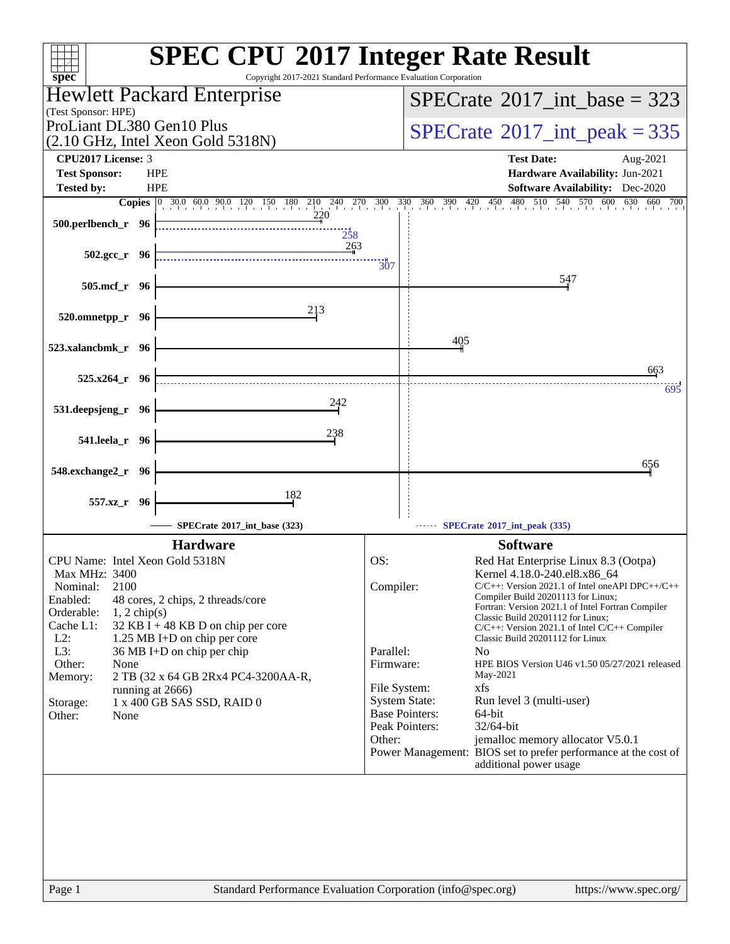| $spec^*$                                                                                                                                                                                                                                                                                                                                                                                                                                      | <b>SPEC CPU®2017 Integer Rate Result</b><br>Copyright 2017-2021 Standard Performance Evaluation Corporation                                                                                                                                                                                                                                                                                                                                                                                                                                                                                                                                                                                                                                                                 |
|-----------------------------------------------------------------------------------------------------------------------------------------------------------------------------------------------------------------------------------------------------------------------------------------------------------------------------------------------------------------------------------------------------------------------------------------------|-----------------------------------------------------------------------------------------------------------------------------------------------------------------------------------------------------------------------------------------------------------------------------------------------------------------------------------------------------------------------------------------------------------------------------------------------------------------------------------------------------------------------------------------------------------------------------------------------------------------------------------------------------------------------------------------------------------------------------------------------------------------------------|
| Hewlett Packard Enterprise                                                                                                                                                                                                                                                                                                                                                                                                                    | $SPECTate$ <sup>®</sup> 2017_int_base = 323                                                                                                                                                                                                                                                                                                                                                                                                                                                                                                                                                                                                                                                                                                                                 |
| (Test Sponsor: HPE)                                                                                                                                                                                                                                                                                                                                                                                                                           |                                                                                                                                                                                                                                                                                                                                                                                                                                                                                                                                                                                                                                                                                                                                                                             |
| ProLiant DL380 Gen10 Plus<br>$(2.10 \text{ GHz}, \text{Intel Xeon Gold } 5318\text{N})$                                                                                                                                                                                                                                                                                                                                                       | $SPECrate^{\circ}2017\_int\_peak = 335$                                                                                                                                                                                                                                                                                                                                                                                                                                                                                                                                                                                                                                                                                                                                     |
| <b>CPU2017 License: 3</b>                                                                                                                                                                                                                                                                                                                                                                                                                     | <b>Test Date:</b><br>Aug-2021                                                                                                                                                                                                                                                                                                                                                                                                                                                                                                                                                                                                                                                                                                                                               |
| <b>Test Sponsor:</b><br><b>HPE</b>                                                                                                                                                                                                                                                                                                                                                                                                            | Hardware Availability: Jun-2021                                                                                                                                                                                                                                                                                                                                                                                                                                                                                                                                                                                                                                                                                                                                             |
| <b>HPE</b><br><b>Tested by:</b>                                                                                                                                                                                                                                                                                                                                                                                                               | <b>Software Availability:</b> Dec-2020<br>480                                                                                                                                                                                                                                                                                                                                                                                                                                                                                                                                                                                                                                                                                                                               |
| $\begin{bmatrix} 0 & 30.0 & 60.0 & 90.0 & 120 & 150 & 180 & 210 & 240 & 270 & 300 & 330 & 360 & 390 & 420 & 450 & 480 \end{bmatrix}$<br><b>Copies</b><br>220<br>500.perlbench_r 96                                                                                                                                                                                                                                                            | $510$ $540$ $570$ $600$ $630$ $660$ $700$                                                                                                                                                                                                                                                                                                                                                                                                                                                                                                                                                                                                                                                                                                                                   |
| 258<br>263                                                                                                                                                                                                                                                                                                                                                                                                                                    |                                                                                                                                                                                                                                                                                                                                                                                                                                                                                                                                                                                                                                                                                                                                                                             |
| $502.\text{gcc r}$ 96                                                                                                                                                                                                                                                                                                                                                                                                                         | $\frac{11}{307}$<br>547                                                                                                                                                                                                                                                                                                                                                                                                                                                                                                                                                                                                                                                                                                                                                     |
| 505.mcf_r 96                                                                                                                                                                                                                                                                                                                                                                                                                                  |                                                                                                                                                                                                                                                                                                                                                                                                                                                                                                                                                                                                                                                                                                                                                                             |
| 213<br>520.omnetpp_r 96                                                                                                                                                                                                                                                                                                                                                                                                                       |                                                                                                                                                                                                                                                                                                                                                                                                                                                                                                                                                                                                                                                                                                                                                                             |
| 523.xalancbmk_r 96                                                                                                                                                                                                                                                                                                                                                                                                                            | 405                                                                                                                                                                                                                                                                                                                                                                                                                                                                                                                                                                                                                                                                                                                                                                         |
| $525.x264$ r 96                                                                                                                                                                                                                                                                                                                                                                                                                               | 663                                                                                                                                                                                                                                                                                                                                                                                                                                                                                                                                                                                                                                                                                                                                                                         |
| 242<br>531.deepsjeng_r 96                                                                                                                                                                                                                                                                                                                                                                                                                     | 695                                                                                                                                                                                                                                                                                                                                                                                                                                                                                                                                                                                                                                                                                                                                                                         |
| 238                                                                                                                                                                                                                                                                                                                                                                                                                                           |                                                                                                                                                                                                                                                                                                                                                                                                                                                                                                                                                                                                                                                                                                                                                                             |
| 541.leela_r 96                                                                                                                                                                                                                                                                                                                                                                                                                                |                                                                                                                                                                                                                                                                                                                                                                                                                                                                                                                                                                                                                                                                                                                                                                             |
| 548.exchange2_r 96                                                                                                                                                                                                                                                                                                                                                                                                                            | 656                                                                                                                                                                                                                                                                                                                                                                                                                                                                                                                                                                                                                                                                                                                                                                         |
| 182<br>557.xz_r 96                                                                                                                                                                                                                                                                                                                                                                                                                            |                                                                                                                                                                                                                                                                                                                                                                                                                                                                                                                                                                                                                                                                                                                                                                             |
| SPECrate®2017_int_base (323)                                                                                                                                                                                                                                                                                                                                                                                                                  | SPECrate®2017_int_peak (335)                                                                                                                                                                                                                                                                                                                                                                                                                                                                                                                                                                                                                                                                                                                                                |
| <b>Hardware</b>                                                                                                                                                                                                                                                                                                                                                                                                                               | <b>Software</b>                                                                                                                                                                                                                                                                                                                                                                                                                                                                                                                                                                                                                                                                                                                                                             |
| CPU Name: Intel Xeon Gold 5318N<br>Max MHz: 3400<br>2100<br>Nominal:<br>Enabled:<br>48 cores, 2 chips, 2 threads/core<br>Orderable:<br>$1, 2$ chip(s)<br>Cache L1:<br>$32$ KB I + 48 KB D on chip per core<br>1.25 MB I+D on chip per core<br>$L2$ :<br>L3:<br>36 MB I+D on chip per chip<br>Other:<br>None<br>Memory:<br>2 TB (32 x 64 GB 2Rx4 PC4-3200AA-R,<br>running at 2666)<br>1 x 400 GB SAS SSD, RAID 0<br>Storage:<br>Other:<br>None | OS:<br>Red Hat Enterprise Linux 8.3 (Ootpa)<br>Kernel 4.18.0-240.el8.x86_64<br>Compiler:<br>$C/C++$ : Version 2021.1 of Intel one API DPC++/C++<br>Compiler Build 20201113 for Linux;<br>Fortran: Version 2021.1 of Intel Fortran Compiler<br>Classic Build 20201112 for Linux;<br>$C/C++$ : Version 2021.1 of Intel $C/C++$ Compiler<br>Classic Build 20201112 for Linux<br>Parallel:<br>N <sub>0</sub><br>Firmware:<br>HPE BIOS Version U46 v1.50 05/27/2021 released<br>May-2021<br>xfs<br>File System:<br><b>System State:</b><br>Run level 3 (multi-user)<br><b>Base Pointers:</b><br>64-bit<br>Peak Pointers:<br>32/64-bit<br>Other:<br>jemalloc memory allocator V5.0.1<br>Power Management: BIOS set to prefer performance at the cost of<br>additional power usage |
| Page 1                                                                                                                                                                                                                                                                                                                                                                                                                                        | Standard Performance Evaluation Corporation (info@spec.org)<br>https://www.spec.org/                                                                                                                                                                                                                                                                                                                                                                                                                                                                                                                                                                                                                                                                                        |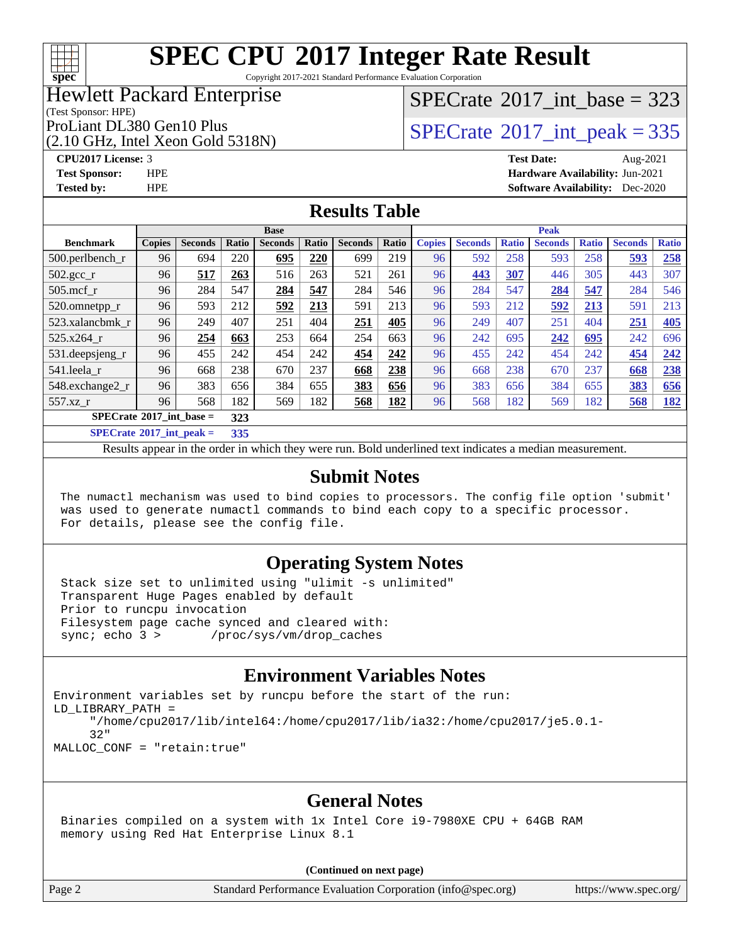

Copyright 2017-2021 Standard Performance Evaluation Corporation

### Hewlett Packard Enterprise

# $SPECrate$ <sup>®</sup>[2017\\_int\\_base =](http://www.spec.org/auto/cpu2017/Docs/result-fields.html#SPECrate2017intbase) 323

(Test Sponsor: HPE)

(2.10 GHz, Intel Xeon Gold 5318N)

ProLiant DL380 Gen10 Plus  $\begin{array}{c} | \text{SPECrate} \text{\textdegree}2017\_int\_peak = 335 \\ \end{array}$  $\begin{array}{c} | \text{SPECrate} \text{\textdegree}2017\_int\_peak = 335 \\ \end{array}$  $\begin{array}{c} | \text{SPECrate} \text{\textdegree}2017\_int\_peak = 335 \\ \end{array}$ 

#### **[CPU2017 License:](http://www.spec.org/auto/cpu2017/Docs/result-fields.html#CPU2017License)** 3 **[Test Date:](http://www.spec.org/auto/cpu2017/Docs/result-fields.html#TestDate)** Aug-2021 **[Test Sponsor:](http://www.spec.org/auto/cpu2017/Docs/result-fields.html#TestSponsor)** HPE **[Hardware Availability:](http://www.spec.org/auto/cpu2017/Docs/result-fields.html#HardwareAvailability)** Jun-2021 **[Tested by:](http://www.spec.org/auto/cpu2017/Docs/result-fields.html#Testedby)** HPE **[Software Availability:](http://www.spec.org/auto/cpu2017/Docs/result-fields.html#SoftwareAvailability)** Dec-2020

# **[Results Table](http://www.spec.org/auto/cpu2017/Docs/result-fields.html#ResultsTable)**

|                                                                     | <b>Base</b>   |                |              |                |       | <b>Peak</b>    |       |               |                |              |                |              |                |              |
|---------------------------------------------------------------------|---------------|----------------|--------------|----------------|-------|----------------|-------|---------------|----------------|--------------|----------------|--------------|----------------|--------------|
| <b>Benchmark</b>                                                    | <b>Copies</b> | <b>Seconds</b> | <b>Ratio</b> | <b>Seconds</b> | Ratio | <b>Seconds</b> | Ratio | <b>Copies</b> | <b>Seconds</b> | <b>Ratio</b> | <b>Seconds</b> | <b>Ratio</b> | <b>Seconds</b> | <b>Ratio</b> |
| $500.$ perlbench_r                                                  | 96            | 694            | 220          | 695            | 220   | 699            | 219   | 96            | 592            | 258          | 593            | 258          | 593            | 258          |
| $502.\text{gcc}$ <sub>r</sub>                                       | 96            | 517            | 263          | 516            | 263   | 521            | 261   | 96            | 443            | 307          | 446            | 305          | 443            | 307          |
| $505$ .mcf r                                                        | 96            | 284            | 547          | 284            | 547   | 284            | 546   | 96            | 284            | 547          | 284            | 547          | 284            | 546          |
| 520.omnetpp_r                                                       | 96            | 593            | 212          | 592            | 213   | 591            | 213   | 96            | 593            | 212          | 592            | 213          | 591            | 213          |
| 523.xalancbmk r                                                     | 96            | 249            | 407          | 251            | 404   | 251            | 405   | 96            | 249            | 407          | 251            | 404          | 251            | 405          |
| 525.x264 r                                                          | 96            | 254            | 663          | 253            | 664   | 254            | 663   | 96            | 242            | 695          | 242            | 695          | 242            | 696          |
| 531.deepsjeng_r                                                     | 96            | 455            | 242          | 454            | 242   | 454            | 242   | 96            | 455            | 242          | 454            | 242          | 454            | 242          |
| 541.leela r                                                         | 96            | 668            | 238          | 670            | 237   | 668            | 238   | 96            | 668            | 238          | 670            | 237          | 668            | 238          |
| 548.exchange2_r                                                     | 96            | 383            | 656          | 384            | 655   | 383            | 656   | 96            | 383            | 656          | 384            | 655          | 383            | 656          |
| 557.xz r                                                            | 96            | 568            | 182          | 569            | 182   | 568            | 182   | 96            | 568            | 182          | 569            | 182          | 568            | <u>182</u>   |
| $SPECrate^{\circ}2017$ int base =                                   |               |                | 323          |                |       |                |       |               |                |              |                |              |                |              |
| $\mathbb{C}\mathbb{D}\Gamma\Gamma_{\text{rot}}\sim 2017$ int nook – |               |                | 225          |                |       |                |       |               |                |              |                |              |                |              |

**[SPECrate](http://www.spec.org/auto/cpu2017/Docs/result-fields.html#SPECrate2017intpeak)[2017\\_int\\_peak =](http://www.spec.org/auto/cpu2017/Docs/result-fields.html#SPECrate2017intpeak) 335**

Results appear in the [order in which they were run](http://www.spec.org/auto/cpu2017/Docs/result-fields.html#RunOrder). Bold underlined text [indicates a median measurement](http://www.spec.org/auto/cpu2017/Docs/result-fields.html#Median).

# **[Submit Notes](http://www.spec.org/auto/cpu2017/Docs/result-fields.html#SubmitNotes)**

 The numactl mechanism was used to bind copies to processors. The config file option 'submit' was used to generate numactl commands to bind each copy to a specific processor. For details, please see the config file.

# **[Operating System Notes](http://www.spec.org/auto/cpu2017/Docs/result-fields.html#OperatingSystemNotes)**

 Stack size set to unlimited using "ulimit -s unlimited" Transparent Huge Pages enabled by default Prior to runcpu invocation Filesystem page cache synced and cleared with: sync; echo 3 > /proc/sys/vm/drop\_caches

# **[Environment Variables Notes](http://www.spec.org/auto/cpu2017/Docs/result-fields.html#EnvironmentVariablesNotes)**

```
Environment variables set by runcpu before the start of the run:
LD_LIBRARY_PATH =
      "/home/cpu2017/lib/intel64:/home/cpu2017/lib/ia32:/home/cpu2017/je5.0.1-
      32"
MALLOC_CONF = "retain:true"
```
# **[General Notes](http://www.spec.org/auto/cpu2017/Docs/result-fields.html#GeneralNotes)**

 Binaries compiled on a system with 1x Intel Core i9-7980XE CPU + 64GB RAM memory using Red Hat Enterprise Linux 8.1

#### **(Continued on next page)**

Page 2 Standard Performance Evaluation Corporation [\(info@spec.org\)](mailto:info@spec.org) <https://www.spec.org/>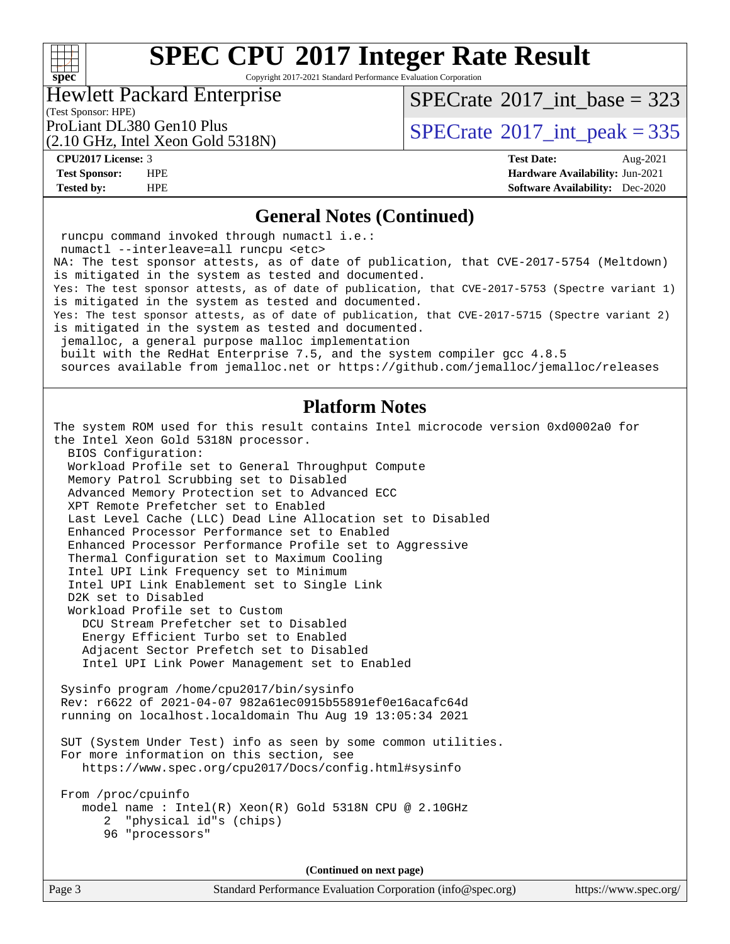# $+\,$ H **[spec](http://www.spec.org/)**

# **[SPEC CPU](http://www.spec.org/auto/cpu2017/Docs/result-fields.html#SPECCPU2017IntegerRateResult)[2017 Integer Rate Result](http://www.spec.org/auto/cpu2017/Docs/result-fields.html#SPECCPU2017IntegerRateResult)**

Copyright 2017-2021 Standard Performance Evaluation Corporation

### Hewlett Packard Enterprise

 $SPECrate$ <sup>®</sup>[2017\\_int\\_base =](http://www.spec.org/auto/cpu2017/Docs/result-fields.html#SPECrate2017intbase) 323

(Test Sponsor: HPE)

(2.10 GHz, Intel Xeon Gold 5318N)

ProLiant DL380 Gen10 Plus  $\text{SPECTate}^{\circ}2017\_int\_peak = 335$ 

**[CPU2017 License:](http://www.spec.org/auto/cpu2017/Docs/result-fields.html#CPU2017License)** 3 **[Test Date:](http://www.spec.org/auto/cpu2017/Docs/result-fields.html#TestDate)** Aug-2021 **[Test Sponsor:](http://www.spec.org/auto/cpu2017/Docs/result-fields.html#TestSponsor)** HPE **[Hardware Availability:](http://www.spec.org/auto/cpu2017/Docs/result-fields.html#HardwareAvailability)** Jun-2021 **[Tested by:](http://www.spec.org/auto/cpu2017/Docs/result-fields.html#Testedby)** HPE **[Software Availability:](http://www.spec.org/auto/cpu2017/Docs/result-fields.html#SoftwareAvailability)** Dec-2020

### **[General Notes \(Continued\)](http://www.spec.org/auto/cpu2017/Docs/result-fields.html#GeneralNotes)**

Page 3 Standard Performance Evaluation Corporation [\(info@spec.org\)](mailto:info@spec.org) <https://www.spec.org/> runcpu command invoked through numactl i.e.: numactl --interleave=all runcpu <etc> NA: The test sponsor attests, as of date of publication, that CVE-2017-5754 (Meltdown) is mitigated in the system as tested and documented. Yes: The test sponsor attests, as of date of publication, that CVE-2017-5753 (Spectre variant 1) is mitigated in the system as tested and documented. Yes: The test sponsor attests, as of date of publication, that CVE-2017-5715 (Spectre variant 2) is mitigated in the system as tested and documented. jemalloc, a general purpose malloc implementation built with the RedHat Enterprise 7.5, and the system compiler gcc 4.8.5 sources available from jemalloc.net or<https://github.com/jemalloc/jemalloc/releases> **[Platform Notes](http://www.spec.org/auto/cpu2017/Docs/result-fields.html#PlatformNotes)** The system ROM used for this result contains Intel microcode version 0xd0002a0 for the Intel Xeon Gold 5318N processor. BIOS Configuration: Workload Profile set to General Throughput Compute Memory Patrol Scrubbing set to Disabled Advanced Memory Protection set to Advanced ECC XPT Remote Prefetcher set to Enabled Last Level Cache (LLC) Dead Line Allocation set to Disabled Enhanced Processor Performance set to Enabled Enhanced Processor Performance Profile set to Aggressive Thermal Configuration set to Maximum Cooling Intel UPI Link Frequency set to Minimum Intel UPI Link Enablement set to Single Link D2K set to Disabled Workload Profile set to Custom DCU Stream Prefetcher set to Disabled Energy Efficient Turbo set to Enabled Adjacent Sector Prefetch set to Disabled Intel UPI Link Power Management set to Enabled Sysinfo program /home/cpu2017/bin/sysinfo Rev: r6622 of 2021-04-07 982a61ec0915b55891ef0e16acafc64d running on localhost.localdomain Thu Aug 19 13:05:34 2021 SUT (System Under Test) info as seen by some common utilities. For more information on this section, see <https://www.spec.org/cpu2017/Docs/config.html#sysinfo> From /proc/cpuinfo model name : Intel(R) Xeon(R) Gold 5318N CPU @ 2.10GHz 2 "physical id"s (chips) 96 "processors" **(Continued on next page)**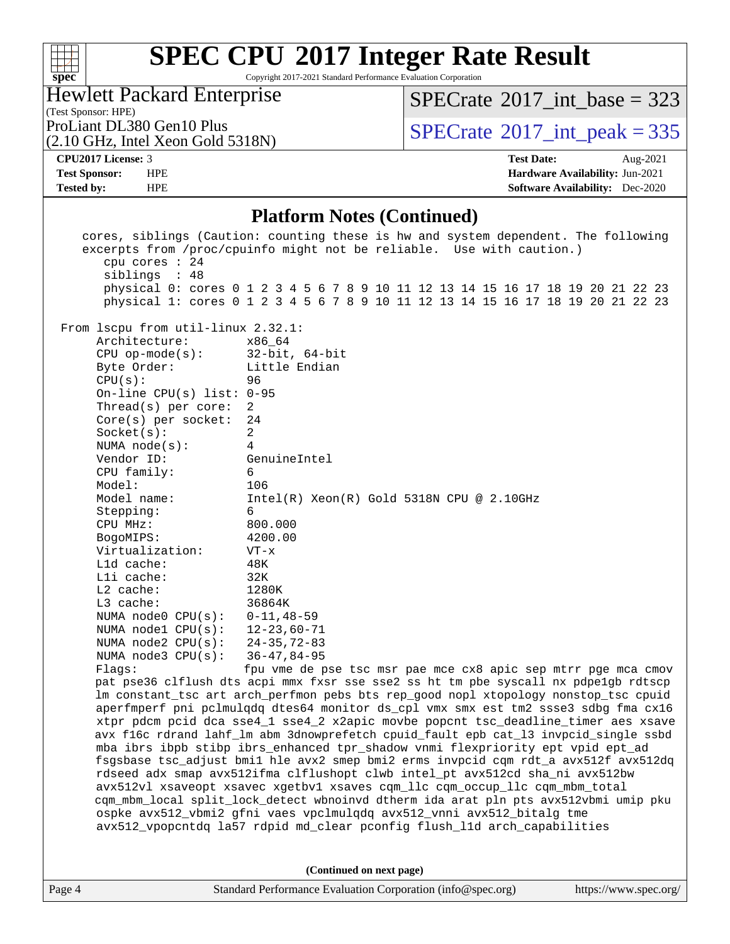

Copyright 2017-2021 Standard Performance Evaluation Corporation

| <b>Hewlett Packard Enterprise</b>     |
|---------------------------------------|
| (Test Sponsor: HPE)                   |
| $R_{\rm rot}$ iant DI 380 Gan 10 Plus |

(2.10 GHz, Intel Xeon Gold 5318N)

 $SPECrate$ <sup>®</sup>[2017\\_int\\_base =](http://www.spec.org/auto/cpu2017/Docs/result-fields.html#SPECrate2017intbase) 323

 $\text{PBCTate}^{\text{2017}\text{int\_peak}} = 335$ 

#### **[CPU2017 License:](http://www.spec.org/auto/cpu2017/Docs/result-fields.html#CPU2017License)** 3 **[Test Date:](http://www.spec.org/auto/cpu2017/Docs/result-fields.html#TestDate)** Aug-2021 **[Test Sponsor:](http://www.spec.org/auto/cpu2017/Docs/result-fields.html#TestSponsor)** HPE **[Hardware Availability:](http://www.spec.org/auto/cpu2017/Docs/result-fields.html#HardwareAvailability)** Jun-2021 **[Tested by:](http://www.spec.org/auto/cpu2017/Docs/result-fields.html#Testedby)** HPE **[Software Availability:](http://www.spec.org/auto/cpu2017/Docs/result-fields.html#SoftwareAvailability)** Dec-2020

### **[Platform Notes \(Continued\)](http://www.spec.org/auto/cpu2017/Docs/result-fields.html#PlatformNotes)**

| cpu cores : 24<br>siblings : 48                                                                                                                                                                                                                                                                                                                                                                                                                                                                                                                                                                                                                                                                                                                                                                                                                                                                                                                                                                                                    | cores, siblings (Caution: counting these is hw and system dependent. The following<br>excerpts from /proc/cpuinfo might not be reliable. Use with caution.)<br>physical 0: cores 0 1 2 3 4 5 6 7 8 9 10 11 12 13 14 15 16 17 18 19 20 21 22 23                                                                                                                                                                                                                      |  |  |  |
|------------------------------------------------------------------------------------------------------------------------------------------------------------------------------------------------------------------------------------------------------------------------------------------------------------------------------------------------------------------------------------------------------------------------------------------------------------------------------------------------------------------------------------------------------------------------------------------------------------------------------------------------------------------------------------------------------------------------------------------------------------------------------------------------------------------------------------------------------------------------------------------------------------------------------------------------------------------------------------------------------------------------------------|---------------------------------------------------------------------------------------------------------------------------------------------------------------------------------------------------------------------------------------------------------------------------------------------------------------------------------------------------------------------------------------------------------------------------------------------------------------------|--|--|--|
| From 1scpu from util-linux 2.32.1:<br>Architecture:<br>$CPU op-mode(s):$<br>Byte Order:<br>CPU(s):<br>On-line CPU(s) list: 0-95<br>Thread(s) per core:<br>$Core(s)$ per socket:<br>Socket(s):<br>NUMA $node(s):$<br>Vendor ID:<br>CPU family:<br>Model:<br>Model name:<br>Stepping:<br>CPU MHz:<br>BogoMIPS:<br>Virtualization:<br>L1d cache:<br>$L1i$ cache:<br>$L2$ cache:<br>L3 cache:<br>NUMA node0 CPU(s):<br>NUMA $node1$ $CPU(s)$ :<br>NUMA $node2$ $CPU(s):$<br>NUMA $node3$ CPU $(s)$ :<br>Flaqs:                                                                                                                                                                                                                                                                                                                                                                                                                                                                                                                         | physical 1: cores 0 1 2 3 4 5 6 7 8 9 10 11 12 13 14 15 16 17 18 19 20 21 22 23<br>x86_64<br>$32$ -bit, $64$ -bit<br>Little Endian<br>96<br>2<br>24<br>2<br>4<br>GenuineIntel<br>6<br>106<br>$Intel(R)$ Xeon $(R)$ Gold 5318N CPU @ 2.10GHz<br>6<br>800.000<br>4200.00<br>$VT - x$<br>48K<br>32K<br>1280K<br>36864K<br>$0 - 11, 48 - 59$<br>$12 - 23,60 - 71$<br>24-35,72-83<br>$36 - 47, 84 - 95$<br>fpu vme de pse tsc msr pae mce cx8 apic sep mtrr pge mca cmov |  |  |  |
| pat pse36 clflush dts acpi mmx fxsr sse sse2 ss ht tm pbe syscall nx pdpelgb rdtscp<br>lm constant_tsc art arch_perfmon pebs bts rep_good nopl xtopology nonstop_tsc cpuid<br>aperfmperf pni pclmulqdq dtes64 monitor ds_cpl vmx smx est tm2 ssse3 sdbg fma cx16<br>xtpr pdcm pcid dca sse4_1 sse4_2 x2apic movbe popcnt tsc_deadline_timer aes xsave<br>avx f16c rdrand lahf_lm abm 3dnowprefetch cpuid_fault epb cat_13 invpcid_single ssbd<br>mba ibrs ibpb stibp ibrs_enhanced tpr_shadow vnmi flexpriority ept vpid ept_ad<br>fsgsbase tsc_adjust bmil hle avx2 smep bmi2 erms invpcid cqm rdt_a avx512f avx512dq<br>rdseed adx smap avx512ifma clflushopt clwb intel_pt avx512cd sha_ni avx512bw<br>avx512vl xsaveopt xsavec xgetbvl xsaves cqm_llc cqm_occup_llc cqm_mbm_total<br>cqm_mbm_local split_lock_detect wbnoinvd dtherm ida arat pln pts avx512vbmi umip pku<br>ospke avx512_vbmi2 gfni vaes vpclmulqdq avx512_vnni avx512_bitalg tme<br>avx512_vpopcntdq la57 rdpid md_clear pconfig flush_11d arch_capabilities |                                                                                                                                                                                                                                                                                                                                                                                                                                                                     |  |  |  |
| (Continued on next page)                                                                                                                                                                                                                                                                                                                                                                                                                                                                                                                                                                                                                                                                                                                                                                                                                                                                                                                                                                                                           |                                                                                                                                                                                                                                                                                                                                                                                                                                                                     |  |  |  |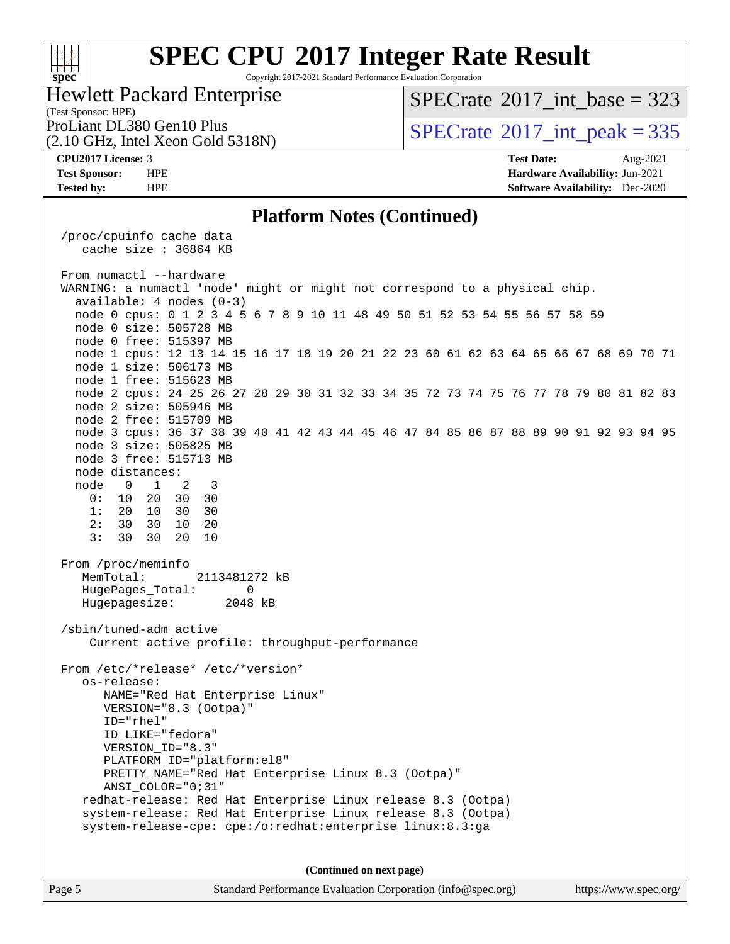## $+\!\!+\!\!$ **[spec](http://www.spec.org/)**

# **[SPEC CPU](http://www.spec.org/auto/cpu2017/Docs/result-fields.html#SPECCPU2017IntegerRateResult)[2017 Integer Rate Result](http://www.spec.org/auto/cpu2017/Docs/result-fields.html#SPECCPU2017IntegerRateResult)**

Copyright 2017-2021 Standard Performance Evaluation Corporation

#### (Test Sponsor: HPE) Hewlett Packard Enterprise

 $SPECrate$ <sup>®</sup>[2017\\_int\\_base =](http://www.spec.org/auto/cpu2017/Docs/result-fields.html#SPECrate2017intbase) 323

(2.10 GHz, Intel Xeon Gold 5318N)

ProLiant DL380 Gen10 Plus  $SPECrate^{\circ}2017$  $SPECrate^{\circ}2017$ \_int\_peak = 335

**[CPU2017 License:](http://www.spec.org/auto/cpu2017/Docs/result-fields.html#CPU2017License)** 3 **[Test Date:](http://www.spec.org/auto/cpu2017/Docs/result-fields.html#TestDate)** Aug-2021 **[Test Sponsor:](http://www.spec.org/auto/cpu2017/Docs/result-fields.html#TestSponsor)** HPE **[Hardware Availability:](http://www.spec.org/auto/cpu2017/Docs/result-fields.html#HardwareAvailability)** Jun-2021 **[Tested by:](http://www.spec.org/auto/cpu2017/Docs/result-fields.html#Testedby)** HPE **[Software Availability:](http://www.spec.org/auto/cpu2017/Docs/result-fields.html#SoftwareAvailability)** Dec-2020

### **[Platform Notes \(Continued\)](http://www.spec.org/auto/cpu2017/Docs/result-fields.html#PlatformNotes)**

 /proc/cpuinfo cache data cache size : 36864 KB From numactl --hardware WARNING: a numactl 'node' might or might not correspond to a physical chip. available: 4 nodes (0-3) node 0 cpus: 0 1 2 3 4 5 6 7 8 9 10 11 48 49 50 51 52 53 54 55 56 57 58 59 node 0 size: 505728 MB node 0 free: 515397 MB node 1 cpus: 12 13 14 15 16 17 18 19 20 21 22 23 60 61 62 63 64 65 66 67 68 69 70 71 node 1 size: 506173 MB node 1 free: 515623 MB node 2 cpus: 24 25 26 27 28 29 30 31 32 33 34 35 72 73 74 75 76 77 78 79 80 81 82 83 node 2 size: 505946 MB node 2 free: 515709 MB node 3 cpus: 36 37 38 39 40 41 42 43 44 45 46 47 84 85 86 87 88 89 90 91 92 93 94 95 node 3 size: 505825 MB node 3 free: 515713 MB node distances: node 0 1 2 3 0: 10 20 30 30 1: 20 10 30 30 2: 30 30 10 20 3: 30 30 20 10 From /proc/meminfo MemTotal: 2113481272 kB HugePages\_Total: 0 Hugepagesize: 2048 kB /sbin/tuned-adm active Current active profile: throughput-performance From /etc/\*release\* /etc/\*version\* os-release: NAME="Red Hat Enterprise Linux" VERSION="8.3 (Ootpa)" ID="rhel" ID\_LIKE="fedora" VERSION\_ID="8.3" PLATFORM\_ID="platform:el8" PRETTY\_NAME="Red Hat Enterprise Linux 8.3 (Ootpa)" ANSI\_COLOR="0;31" redhat-release: Red Hat Enterprise Linux release 8.3 (Ootpa) system-release: Red Hat Enterprise Linux release 8.3 (Ootpa) system-release-cpe: cpe:/o:redhat:enterprise\_linux:8.3:ga

**(Continued on next page)**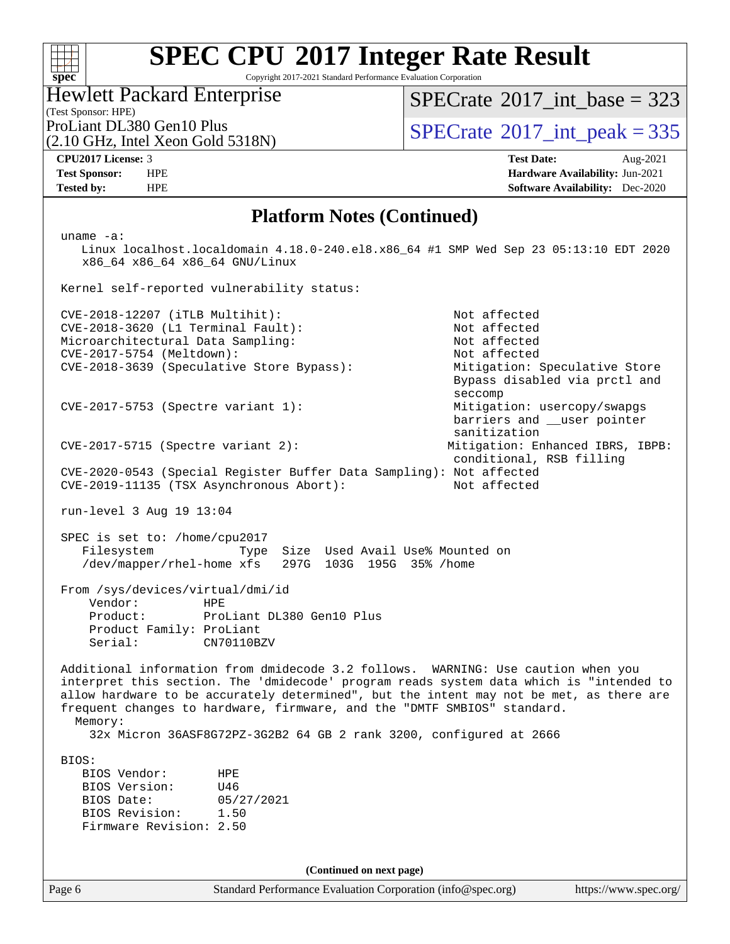# $+\,$ H **[spec](http://www.spec.org/)**

# **[SPEC CPU](http://www.spec.org/auto/cpu2017/Docs/result-fields.html#SPECCPU2017IntegerRateResult)[2017 Integer Rate Result](http://www.spec.org/auto/cpu2017/Docs/result-fields.html#SPECCPU2017IntegerRateResult)**

Copyright 2017-2021 Standard Performance Evaluation Corporation

#### (Test Sponsor: HPE) Hewlett Packard Enterprise

 $SPECrate$ <sup>®</sup>[2017\\_int\\_base =](http://www.spec.org/auto/cpu2017/Docs/result-fields.html#SPECrate2017intbase) 323

(2.10 GHz, Intel Xeon Gold 5318N)

ProLiant DL380 Gen10 Plus  $SPECTate$ <sup>®</sup>[2017\\_int\\_peak = 3](http://www.spec.org/auto/cpu2017/Docs/result-fields.html#SPECrate2017intpeak)35

**[CPU2017 License:](http://www.spec.org/auto/cpu2017/Docs/result-fields.html#CPU2017License)** 3 **[Test Date:](http://www.spec.org/auto/cpu2017/Docs/result-fields.html#TestDate)** Aug-2021 **[Test Sponsor:](http://www.spec.org/auto/cpu2017/Docs/result-fields.html#TestSponsor)** HPE **[Hardware Availability:](http://www.spec.org/auto/cpu2017/Docs/result-fields.html#HardwareAvailability)** Jun-2021 **[Tested by:](http://www.spec.org/auto/cpu2017/Docs/result-fields.html#Testedby)** HPE **[Software Availability:](http://www.spec.org/auto/cpu2017/Docs/result-fields.html#SoftwareAvailability)** Dec-2020

### **[Platform Notes \(Continued\)](http://www.spec.org/auto/cpu2017/Docs/result-fields.html#PlatformNotes)**

 uname -a: Linux localhost.localdomain 4.18.0-240.el8.x86\_64 #1 SMP Wed Sep 23 05:13:10 EDT 2020 x86\_64 x86\_64 x86\_64 GNU/Linux Kernel self-reported vulnerability status: CVE-2018-12207 (iTLB Multihit): Not affected CVE-2018-3620 (L1 Terminal Fault): Not affected<br>Microarchitectural Data Sampling: Not affected Microarchitectural Data Sampling: Not affected<br>
CVE-2017-5754 (Meltdown): Not affected  $CVE-2017-5754$  (Meltdown): CVE-2018-3639 (Speculative Store Bypass): Mitigation: Speculative Store Bypass disabled via prctl and seccompany and the contract of the contract of the contract of the second seconds of the contract of the contract of the contract of the contract of the contract of the contract of the contract of the contract of the contr CVE-2017-5753 (Spectre variant 1): Mitigation: usercopy/swapgs barriers and \_\_user pointer sanitization CVE-2017-5715 (Spectre variant 2): Mitigation: Enhanced IBRS, IBPB: conditional, RSB filling CVE-2020-0543 (Special Register Buffer Data Sampling): Not affected CVE-2019-11135 (TSX Asynchronous Abort): Not affected run-level 3 Aug 19 13:04 SPEC is set to: /home/cpu2017 Filesystem Type Size Used Avail Use% Mounted on /dev/mapper/rhel-home xfs 297G 103G 195G 35% /home From /sys/devices/virtual/dmi/id Vendor: HPE Product: ProLiant DL380 Gen10 Plus Product Family: ProLiant Serial: CN70110BZV Additional information from dmidecode 3.2 follows. WARNING: Use caution when you interpret this section. The 'dmidecode' program reads system data which is "intended to allow hardware to be accurately determined", but the intent may not be met, as there are frequent changes to hardware, firmware, and the "DMTF SMBIOS" standard. Memory: 32x Micron 36ASF8G72PZ-3G2B2 64 GB 2 rank 3200, configured at 2666 BIOS: BIOS Vendor: HPE BIOS Version: U46 BIOS Date: 05/27/2021<br>BIOS Revision: 1.50 BIOS Revision: Firmware Revision: 2.50 **(Continued on next page)**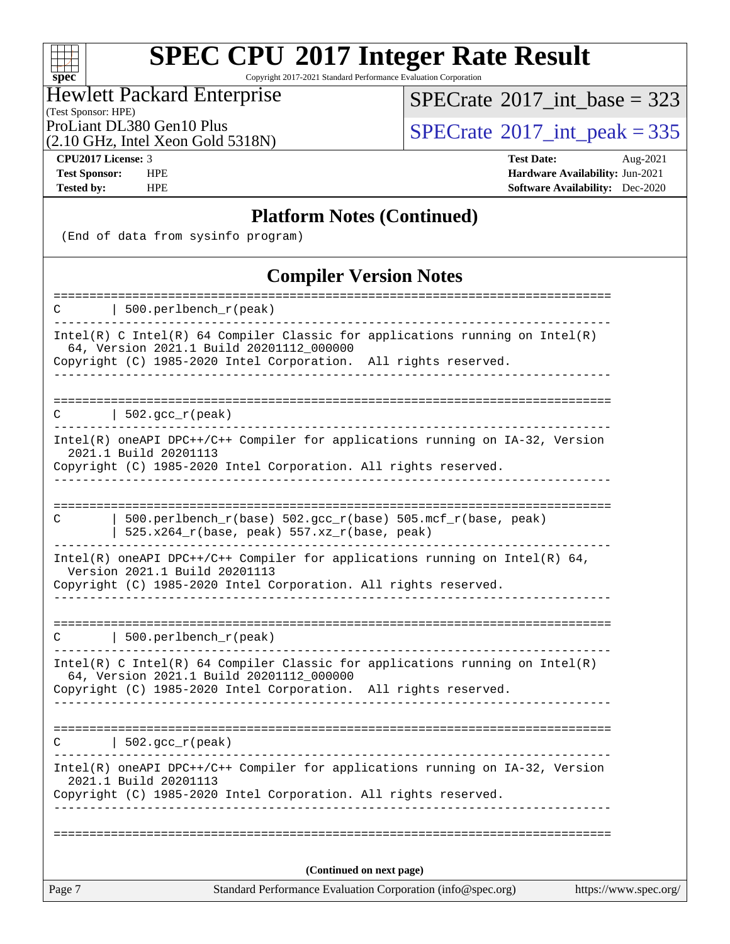Copyright 2017-2021 Standard Performance Evaluation Corporation

# Hewlett Packard Enterprise

(Test Sponsor: HPE)

 $SPECrate$ <sup>®</sup>[2017\\_int\\_base =](http://www.spec.org/auto/cpu2017/Docs/result-fields.html#SPECrate2017intbase) 323

(2.10 GHz, Intel Xeon Gold 5318N)

ProLiant DL380 Gen10 Plus  $\begin{array}{c} | \text{SPECrate} \text{[2017\_int\_peak]} = 335 \\ \text{SPECrate} \text{[2017\_int\_peak]} = 335 \end{array}$  $\begin{array}{c} | \text{SPECrate} \text{[2017\_int\_peak]} = 335 \\ \text{SPECrate} \text{[2017\_int\_peak]} = 335 \end{array}$  $\begin{array}{c} | \text{SPECrate} \text{[2017\_int\_peak]} = 335 \\ \text{SPECrate} \text{[2017\_int\_peak]} = 335 \end{array}$ 

**[spec](http://www.spec.org/)**

 $+\ +$ 

**[CPU2017 License:](http://www.spec.org/auto/cpu2017/Docs/result-fields.html#CPU2017License)** 3 **[Test Date:](http://www.spec.org/auto/cpu2017/Docs/result-fields.html#TestDate)** Aug-2021 **[Test Sponsor:](http://www.spec.org/auto/cpu2017/Docs/result-fields.html#TestSponsor)** HPE **[Hardware Availability:](http://www.spec.org/auto/cpu2017/Docs/result-fields.html#HardwareAvailability)** Jun-2021 **[Tested by:](http://www.spec.org/auto/cpu2017/Docs/result-fields.html#Testedby)** HPE **[Software Availability:](http://www.spec.org/auto/cpu2017/Docs/result-fields.html#SoftwareAvailability)** Dec-2020

# **[Platform Notes \(Continued\)](http://www.spec.org/auto/cpu2017/Docs/result-fields.html#PlatformNotes)**

(End of data from sysinfo program)

# **[Compiler Version Notes](http://www.spec.org/auto/cpu2017/Docs/result-fields.html#CompilerVersionNotes)**

| Standard Performance Evaluation Corporation (info@spec.org)<br>Page 7<br>https://www.spec.org/                                                                            |
|---------------------------------------------------------------------------------------------------------------------------------------------------------------------------|
| (Continued on next page)                                                                                                                                                  |
|                                                                                                                                                                           |
|                                                                                                                                                                           |
| Intel(R) oneAPI DPC++/C++ Compiler for applications running on IA-32, Version<br>2021.1 Build 20201113<br>Copyright (C) 1985-2020 Intel Corporation. All rights reserved. |
| $\vert$ 502.gcc_r(peak)<br>C                                                                                                                                              |
| ______________________                                                                                                                                                    |
| 64, Version 2021.1 Build 20201112_000000<br>Copyright (C) 1985-2020 Intel Corporation. All rights reserved.                                                               |
| Intel(R) C Intel(R) 64 Compiler Classic for applications running on Intel(R)                                                                                              |
| 500.perlbench_r(peak)<br>C                                                                                                                                                |
|                                                                                                                                                                           |
| Version 2021.1 Build 20201113<br>Copyright (C) 1985-2020 Intel Corporation. All rights reserved.                                                                          |
| $Intel(R)$ oneAPI DPC++/C++ Compiler for applications running on Intel(R) 64,                                                                                             |
| $500.perlbench_r(base) 502.gcc_r(base) 505.mef_r(base, peak)$<br>C<br>  $525.x264_r(base, peak) 557.xz_r(base, peak)$                                                     |
|                                                                                                                                                                           |
| Intel(R) oneAPI DPC++/C++ Compiler for applications running on IA-32, Version<br>2021.1 Build 20201113<br>Copyright (C) 1985-2020 Intel Corporation. All rights reserved. |
| $\vert$ 502.gcc_r(peak)<br>C                                                                                                                                              |
|                                                                                                                                                                           |
| Copyright (C) 1985-2020 Intel Corporation. All rights reserved.<br>______________________________                                                                         |
| Intel(R) C Intel(R) 64 Compiler Classic for applications running on $Intel(R)$<br>64, Version 2021.1 Build 20201112_000000                                                |
| 500.perlbench_r(peak)<br>С                                                                                                                                                |
| :=====================<br>==========                                                                                                                                      |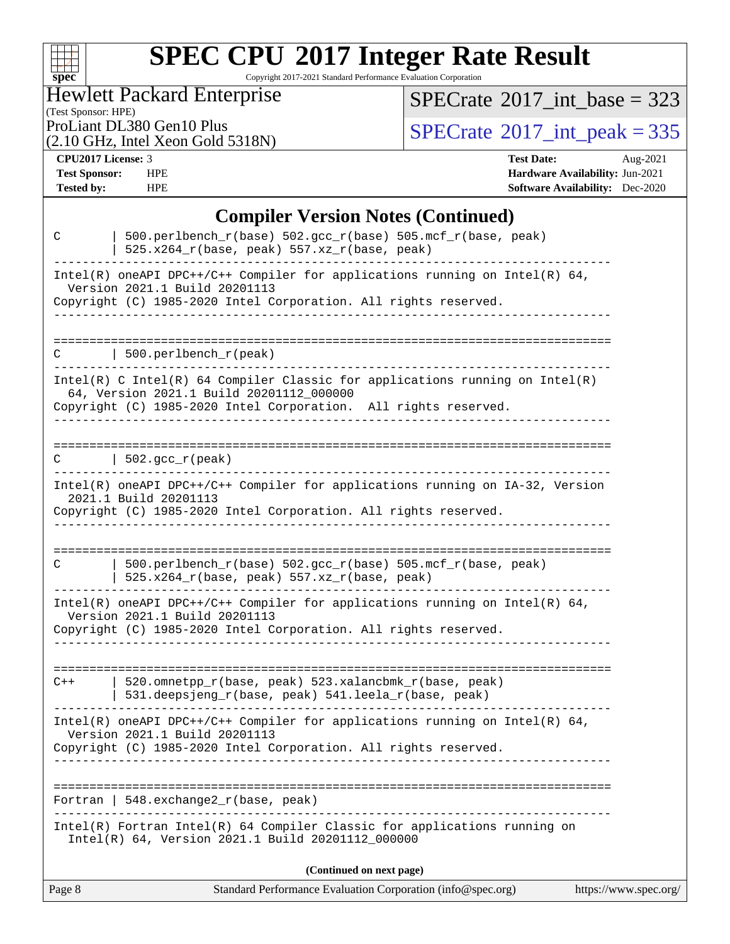| S<br>۱t<br>IJ |  |  |  |  |  |
|---------------|--|--|--|--|--|

Copyright 2017-2021 Standard Performance Evaluation Corporation

Hewlett Packard Enterprise

 $SPECrate$ <sup>®</sup>[2017\\_int\\_base =](http://www.spec.org/auto/cpu2017/Docs/result-fields.html#SPECrate2017intbase) 323

(Test Sponsor: HPE)

(2.10 GHz, Intel Xeon Gold 5318N)

ProLiant DL380 Gen10 Plus<br>  $(2.10 \text{ GHz})$  Intel Xeon Gold 5318N)

**[CPU2017 License:](http://www.spec.org/auto/cpu2017/Docs/result-fields.html#CPU2017License)** 3 **[Test Date:](http://www.spec.org/auto/cpu2017/Docs/result-fields.html#TestDate)** Aug-2021 **[Test Sponsor:](http://www.spec.org/auto/cpu2017/Docs/result-fields.html#TestSponsor)** HPE **[Hardware Availability:](http://www.spec.org/auto/cpu2017/Docs/result-fields.html#HardwareAvailability)** Jun-2021 **[Tested by:](http://www.spec.org/auto/cpu2017/Docs/result-fields.html#Testedby)** HPE **[Software Availability:](http://www.spec.org/auto/cpu2017/Docs/result-fields.html#SoftwareAvailability)** Dec-2020

# **[Compiler Version Notes \(Continued\)](http://www.spec.org/auto/cpu2017/Docs/result-fields.html#CompilerVersionNotes)**

| 525.x264_r(base, peak) 557.xz_r(base, peak)<br>Intel(R) oneAPI DPC++/C++ Compiler for applications running on Intel(R) $64$ ,<br>Version 2021.1 Build 20201113<br>Copyright (C) 1985-2020 Intel Corporation. All rights reserved.<br>  500.perlbench_r(peak)<br>C<br>Intel(R) C Intel(R) 64 Compiler Classic for applications running on Intel(R)<br>64, Version 2021.1 Build 20201112_000000 |
|-----------------------------------------------------------------------------------------------------------------------------------------------------------------------------------------------------------------------------------------------------------------------------------------------------------------------------------------------------------------------------------------------|
|                                                                                                                                                                                                                                                                                                                                                                                               |
|                                                                                                                                                                                                                                                                                                                                                                                               |
| Copyright (C) 1985-2020 Intel Corporation. All rights reserved.                                                                                                                                                                                                                                                                                                                               |
| $\vert$ 502.gcc_r(peak)<br>________________                                                                                                                                                                                                                                                                                                                                                   |
| Intel(R) oneAPI DPC++/C++ Compiler for applications running on IA-32, Version<br>2021.1 Build 20201113<br>Copyright (C) 1985-2020 Intel Corporation. All rights reserved.                                                                                                                                                                                                                     |
| 500.perlbench_r(base) 502.gcc_r(base) 505.mcf_r(base, peak)<br>C<br>525.x264_r(base, peak) 557.xz_r(base, peak)                                                                                                                                                                                                                                                                               |
| Intel(R) oneAPI DPC++/C++ Compiler for applications running on Intel(R) 64,<br>Version 2021.1 Build 20201113<br>Copyright (C) 1985-2020 Intel Corporation. All rights reserved.                                                                                                                                                                                                               |
| :==============================<br>520.omnetpp_r(base, peak) 523.xalancbmk_r(base, peak)<br>$C++$<br>531.deepsjeng_r(base, peak) 541.leela_r(base, peak)                                                                                                                                                                                                                                      |
| Intel(R) oneAPI DPC++/C++ Compiler for applications running on Intel(R) $64$ ,<br>Version 2021.1 Build 20201113<br>Copyright (C) 1985-2020 Intel Corporation. All rights reserved.                                                                                                                                                                                                            |
| Fortran   548.exchange2_r(base, peak)                                                                                                                                                                                                                                                                                                                                                         |
| Intel(R) Fortran Intel(R) 64 Compiler Classic for applications running on<br>Intel(R) 64, Version 2021.1 Build 20201112_000000                                                                                                                                                                                                                                                                |
| (Continued on next page)<br>$\alpha$ examples of the substantial composition (integrates) $\alpha$ is the set of the set of the set of the set of the set of the set of the set of the set of the set of the set of the set of the set of the set of the set of t<br>$D_{\alpha\alpha\alpha}$ 0                                                                                               |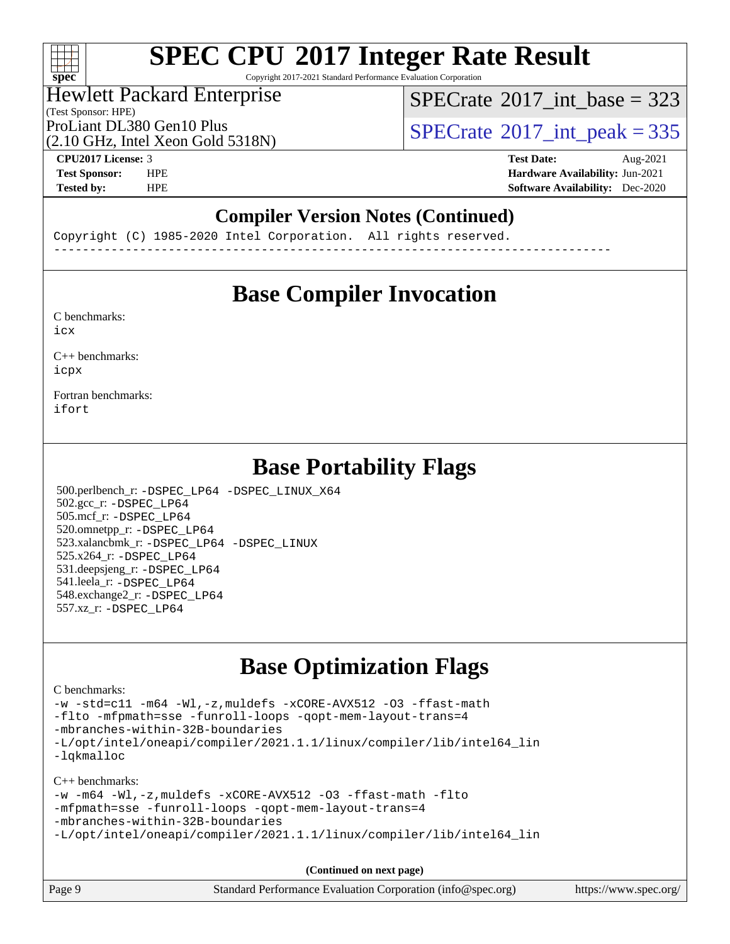# $+\ +$ **[spec](http://www.spec.org/)**

# **[SPEC CPU](http://www.spec.org/auto/cpu2017/Docs/result-fields.html#SPECCPU2017IntegerRateResult)[2017 Integer Rate Result](http://www.spec.org/auto/cpu2017/Docs/result-fields.html#SPECCPU2017IntegerRateResult)**

Copyright 2017-2021 Standard Performance Evaluation Corporation

# Hewlett Packard Enterprise

 $SPECTate@2017_int\_base = 323$ 

(Test Sponsor: HPE)

(2.10 GHz, Intel Xeon Gold 5318N)

ProLiant DL380 Gen10 Plus  $SPECrate^{\circ}2017$  $SPECrate^{\circ}2017$ \_int\_peak = 335

**[CPU2017 License:](http://www.spec.org/auto/cpu2017/Docs/result-fields.html#CPU2017License)** 3 **[Test Date:](http://www.spec.org/auto/cpu2017/Docs/result-fields.html#TestDate)** Aug-2021 **[Test Sponsor:](http://www.spec.org/auto/cpu2017/Docs/result-fields.html#TestSponsor)** HPE **[Hardware Availability:](http://www.spec.org/auto/cpu2017/Docs/result-fields.html#HardwareAvailability)** Jun-2021 **[Tested by:](http://www.spec.org/auto/cpu2017/Docs/result-fields.html#Testedby)** HPE **[Software Availability:](http://www.spec.org/auto/cpu2017/Docs/result-fields.html#SoftwareAvailability)** Dec-2020

# **[Compiler Version Notes \(Continued\)](http://www.spec.org/auto/cpu2017/Docs/result-fields.html#CompilerVersionNotes)**

Copyright (C) 1985-2020 Intel Corporation. All rights reserved. ------------------------------------------------------------------------------

# **[Base Compiler Invocation](http://www.spec.org/auto/cpu2017/Docs/result-fields.html#BaseCompilerInvocation)**

[C benchmarks](http://www.spec.org/auto/cpu2017/Docs/result-fields.html#Cbenchmarks): [icx](http://www.spec.org/cpu2017/results/res2021q3/cpu2017-20210830-29035.flags.html#user_CCbase_intel_icx_fe2d28d19ae2a5db7c42fe0f2a2aed77cb715edd4aeb23434404a8be6683fe239869bb6ca8154ca98265c2e3b9226a719a0efe2953a4a7018c379b7010ccf087)

[C++ benchmarks:](http://www.spec.org/auto/cpu2017/Docs/result-fields.html#CXXbenchmarks) [icpx](http://www.spec.org/cpu2017/results/res2021q3/cpu2017-20210830-29035.flags.html#user_CXXbase_intel_icpx_1e918ed14c436bf4b9b7c8bcdd51d4539fc71b3df010bd1e9f8732d9c34c2b2914e48204a846820f3c0ebb4095dea797a5c30b458ac0b6dffac65d78f781f5ca)

[Fortran benchmarks](http://www.spec.org/auto/cpu2017/Docs/result-fields.html#Fortranbenchmarks): [ifort](http://www.spec.org/cpu2017/results/res2021q3/cpu2017-20210830-29035.flags.html#user_FCbase_intel_ifort_8111460550e3ca792625aed983ce982f94888b8b503583aa7ba2b8303487b4d8a21a13e7191a45c5fd58ff318f48f9492884d4413fa793fd88dd292cad7027ca)

# **[Base Portability Flags](http://www.spec.org/auto/cpu2017/Docs/result-fields.html#BasePortabilityFlags)**

 500.perlbench\_r: [-DSPEC\\_LP64](http://www.spec.org/cpu2017/results/res2021q3/cpu2017-20210830-29035.flags.html#b500.perlbench_r_basePORTABILITY_DSPEC_LP64) [-DSPEC\\_LINUX\\_X64](http://www.spec.org/cpu2017/results/res2021q3/cpu2017-20210830-29035.flags.html#b500.perlbench_r_baseCPORTABILITY_DSPEC_LINUX_X64) 502.gcc\_r: [-DSPEC\\_LP64](http://www.spec.org/cpu2017/results/res2021q3/cpu2017-20210830-29035.flags.html#suite_basePORTABILITY502_gcc_r_DSPEC_LP64) 505.mcf\_r: [-DSPEC\\_LP64](http://www.spec.org/cpu2017/results/res2021q3/cpu2017-20210830-29035.flags.html#suite_basePORTABILITY505_mcf_r_DSPEC_LP64) 520.omnetpp\_r: [-DSPEC\\_LP64](http://www.spec.org/cpu2017/results/res2021q3/cpu2017-20210830-29035.flags.html#suite_basePORTABILITY520_omnetpp_r_DSPEC_LP64) 523.xalancbmk\_r: [-DSPEC\\_LP64](http://www.spec.org/cpu2017/results/res2021q3/cpu2017-20210830-29035.flags.html#suite_basePORTABILITY523_xalancbmk_r_DSPEC_LP64) [-DSPEC\\_LINUX](http://www.spec.org/cpu2017/results/res2021q3/cpu2017-20210830-29035.flags.html#b523.xalancbmk_r_baseCXXPORTABILITY_DSPEC_LINUX) 525.x264\_r: [-DSPEC\\_LP64](http://www.spec.org/cpu2017/results/res2021q3/cpu2017-20210830-29035.flags.html#suite_basePORTABILITY525_x264_r_DSPEC_LP64) 531.deepsjeng\_r: [-DSPEC\\_LP64](http://www.spec.org/cpu2017/results/res2021q3/cpu2017-20210830-29035.flags.html#suite_basePORTABILITY531_deepsjeng_r_DSPEC_LP64) 541.leela\_r: [-DSPEC\\_LP64](http://www.spec.org/cpu2017/results/res2021q3/cpu2017-20210830-29035.flags.html#suite_basePORTABILITY541_leela_r_DSPEC_LP64) 548.exchange2\_r: [-DSPEC\\_LP64](http://www.spec.org/cpu2017/results/res2021q3/cpu2017-20210830-29035.flags.html#suite_basePORTABILITY548_exchange2_r_DSPEC_LP64) 557.xz\_r: [-DSPEC\\_LP64](http://www.spec.org/cpu2017/results/res2021q3/cpu2017-20210830-29035.flags.html#suite_basePORTABILITY557_xz_r_DSPEC_LP64)

# **[Base Optimization Flags](http://www.spec.org/auto/cpu2017/Docs/result-fields.html#BaseOptimizationFlags)**

#### [C benchmarks](http://www.spec.org/auto/cpu2017/Docs/result-fields.html#Cbenchmarks):

```
-w -std=c11 -m64 -Wl,-z,muldefs -xCORE-AVX512 -O3 -ffast-math
-flto -mfpmath=sse -funroll-loops -qopt-mem-layout-trans=4
-mbranches-within-32B-boundaries
-L/opt/intel/oneapi/compiler/2021.1.1/linux/compiler/lib/intel64_lin
-lqkmalloc
```
[C++ benchmarks:](http://www.spec.org/auto/cpu2017/Docs/result-fields.html#CXXbenchmarks)

```
-w -m64 -Wl,-z,muldefs -xCORE-AVX512 -O3 -ffast-math -flto
-mfpmath=sse -funroll-loops -qopt-mem-layout-trans=4
-mbranches-within-32B-boundaries
-L/opt/intel/oneapi/compiler/2021.1.1/linux/compiler/lib/intel64_lin
```
**(Continued on next page)**

| Page 9<br>Standard Performance Evaluation Corporation (info@spec.org) | https://www.spec.org/ |
|-----------------------------------------------------------------------|-----------------------|
|-----------------------------------------------------------------------|-----------------------|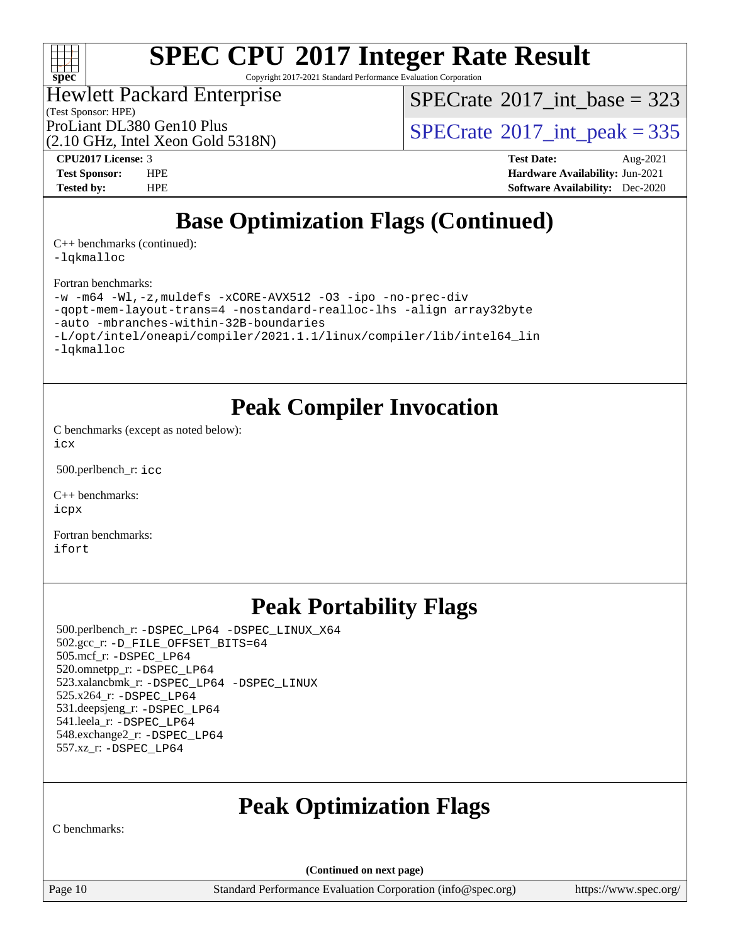

Copyright 2017-2021 Standard Performance Evaluation Corporation

# Hewlett Packard Enterprise

 $SPECTate$ <sup>®</sup>[2017\\_int\\_base =](http://www.spec.org/auto/cpu2017/Docs/result-fields.html#SPECrate2017intbase) 323

(Test Sponsor: HPE) (2.10 GHz, Intel Xeon Gold 5318N)

ProLiant DL380 Gen10 Plus  $SPECrate^{\circ}2017$  $SPECrate^{\circ}2017$ \_int\_peak = 335

**[CPU2017 License:](http://www.spec.org/auto/cpu2017/Docs/result-fields.html#CPU2017License)** 3 **[Test Date:](http://www.spec.org/auto/cpu2017/Docs/result-fields.html#TestDate)** Aug-2021 **[Test Sponsor:](http://www.spec.org/auto/cpu2017/Docs/result-fields.html#TestSponsor)** HPE **[Hardware Availability:](http://www.spec.org/auto/cpu2017/Docs/result-fields.html#HardwareAvailability)** Jun-2021 **[Tested by:](http://www.spec.org/auto/cpu2017/Docs/result-fields.html#Testedby)** HPE **[Software Availability:](http://www.spec.org/auto/cpu2017/Docs/result-fields.html#SoftwareAvailability)** Dec-2020

# **[Base Optimization Flags \(Continued\)](http://www.spec.org/auto/cpu2017/Docs/result-fields.html#BaseOptimizationFlags)**

[C++ benchmarks](http://www.spec.org/auto/cpu2017/Docs/result-fields.html#CXXbenchmarks) (continued): [-lqkmalloc](http://www.spec.org/cpu2017/results/res2021q3/cpu2017-20210830-29035.flags.html#user_CXXbase_qkmalloc_link_lib_79a818439969f771c6bc311cfd333c00fc099dad35c030f5aab9dda831713d2015205805422f83de8875488a2991c0a156aaa600e1f9138f8fc37004abc96dc5)

[Fortran benchmarks](http://www.spec.org/auto/cpu2017/Docs/result-fields.html#Fortranbenchmarks):

```
-w -m64 -Wl,-z,muldefs -xCORE-AVX512 -O3 -ipo -no-prec-div
-qopt-mem-layout-trans=4 -nostandard-realloc-lhs -align array32byte
-auto -mbranches-within-32B-boundaries
-L/opt/intel/oneapi/compiler/2021.1.1/linux/compiler/lib/intel64_lin
-lqkmalloc
```
# **[Peak Compiler Invocation](http://www.spec.org/auto/cpu2017/Docs/result-fields.html#PeakCompilerInvocation)**

[C benchmarks \(except as noted below\)](http://www.spec.org/auto/cpu2017/Docs/result-fields.html#Cbenchmarksexceptasnotedbelow): [icx](http://www.spec.org/cpu2017/results/res2021q3/cpu2017-20210830-29035.flags.html#user_CCpeak_intel_icx_fe2d28d19ae2a5db7c42fe0f2a2aed77cb715edd4aeb23434404a8be6683fe239869bb6ca8154ca98265c2e3b9226a719a0efe2953a4a7018c379b7010ccf087)

500.perlbench\_r: [icc](http://www.spec.org/cpu2017/results/res2021q3/cpu2017-20210830-29035.flags.html#user_peakCCLD500_perlbench_r_intel_icc_66fc1ee009f7361af1fbd72ca7dcefbb700085f36577c54f309893dd4ec40d12360134090235512931783d35fd58c0460139e722d5067c5574d8eaf2b3e37e92)

[C++ benchmarks:](http://www.spec.org/auto/cpu2017/Docs/result-fields.html#CXXbenchmarks) [icpx](http://www.spec.org/cpu2017/results/res2021q3/cpu2017-20210830-29035.flags.html#user_CXXpeak_intel_icpx_1e918ed14c436bf4b9b7c8bcdd51d4539fc71b3df010bd1e9f8732d9c34c2b2914e48204a846820f3c0ebb4095dea797a5c30b458ac0b6dffac65d78f781f5ca)

[Fortran benchmarks](http://www.spec.org/auto/cpu2017/Docs/result-fields.html#Fortranbenchmarks): [ifort](http://www.spec.org/cpu2017/results/res2021q3/cpu2017-20210830-29035.flags.html#user_FCpeak_intel_ifort_8111460550e3ca792625aed983ce982f94888b8b503583aa7ba2b8303487b4d8a21a13e7191a45c5fd58ff318f48f9492884d4413fa793fd88dd292cad7027ca)

# **[Peak Portability Flags](http://www.spec.org/auto/cpu2017/Docs/result-fields.html#PeakPortabilityFlags)**

 500.perlbench\_r: [-DSPEC\\_LP64](http://www.spec.org/cpu2017/results/res2021q3/cpu2017-20210830-29035.flags.html#b500.perlbench_r_peakPORTABILITY_DSPEC_LP64) [-DSPEC\\_LINUX\\_X64](http://www.spec.org/cpu2017/results/res2021q3/cpu2017-20210830-29035.flags.html#b500.perlbench_r_peakCPORTABILITY_DSPEC_LINUX_X64) 502.gcc\_r: [-D\\_FILE\\_OFFSET\\_BITS=64](http://www.spec.org/cpu2017/results/res2021q3/cpu2017-20210830-29035.flags.html#user_peakPORTABILITY502_gcc_r_file_offset_bits_64_5ae949a99b284ddf4e95728d47cb0843d81b2eb0e18bdfe74bbf0f61d0b064f4bda2f10ea5eb90e1dcab0e84dbc592acfc5018bc955c18609f94ddb8d550002c) 505.mcf\_r: [-DSPEC\\_LP64](http://www.spec.org/cpu2017/results/res2021q3/cpu2017-20210830-29035.flags.html#suite_peakPORTABILITY505_mcf_r_DSPEC_LP64) 520.omnetpp\_r: [-DSPEC\\_LP64](http://www.spec.org/cpu2017/results/res2021q3/cpu2017-20210830-29035.flags.html#suite_peakPORTABILITY520_omnetpp_r_DSPEC_LP64) 523.xalancbmk\_r: [-DSPEC\\_LP64](http://www.spec.org/cpu2017/results/res2021q3/cpu2017-20210830-29035.flags.html#suite_peakPORTABILITY523_xalancbmk_r_DSPEC_LP64) [-DSPEC\\_LINUX](http://www.spec.org/cpu2017/results/res2021q3/cpu2017-20210830-29035.flags.html#b523.xalancbmk_r_peakCXXPORTABILITY_DSPEC_LINUX) 525.x264\_r: [-DSPEC\\_LP64](http://www.spec.org/cpu2017/results/res2021q3/cpu2017-20210830-29035.flags.html#suite_peakPORTABILITY525_x264_r_DSPEC_LP64) 531.deepsjeng\_r: [-DSPEC\\_LP64](http://www.spec.org/cpu2017/results/res2021q3/cpu2017-20210830-29035.flags.html#suite_peakPORTABILITY531_deepsjeng_r_DSPEC_LP64) 541.leela\_r: [-DSPEC\\_LP64](http://www.spec.org/cpu2017/results/res2021q3/cpu2017-20210830-29035.flags.html#suite_peakPORTABILITY541_leela_r_DSPEC_LP64) 548.exchange2\_r: [-DSPEC\\_LP64](http://www.spec.org/cpu2017/results/res2021q3/cpu2017-20210830-29035.flags.html#suite_peakPORTABILITY548_exchange2_r_DSPEC_LP64) 557.xz\_r: [-DSPEC\\_LP64](http://www.spec.org/cpu2017/results/res2021q3/cpu2017-20210830-29035.flags.html#suite_peakPORTABILITY557_xz_r_DSPEC_LP64)

# **[Peak Optimization Flags](http://www.spec.org/auto/cpu2017/Docs/result-fields.html#PeakOptimizationFlags)**

[C benchmarks:](http://www.spec.org/auto/cpu2017/Docs/result-fields.html#Cbenchmarks)

**(Continued on next page)**

Page 10 Standard Performance Evaluation Corporation [\(info@spec.org\)](mailto:info@spec.org) <https://www.spec.org/>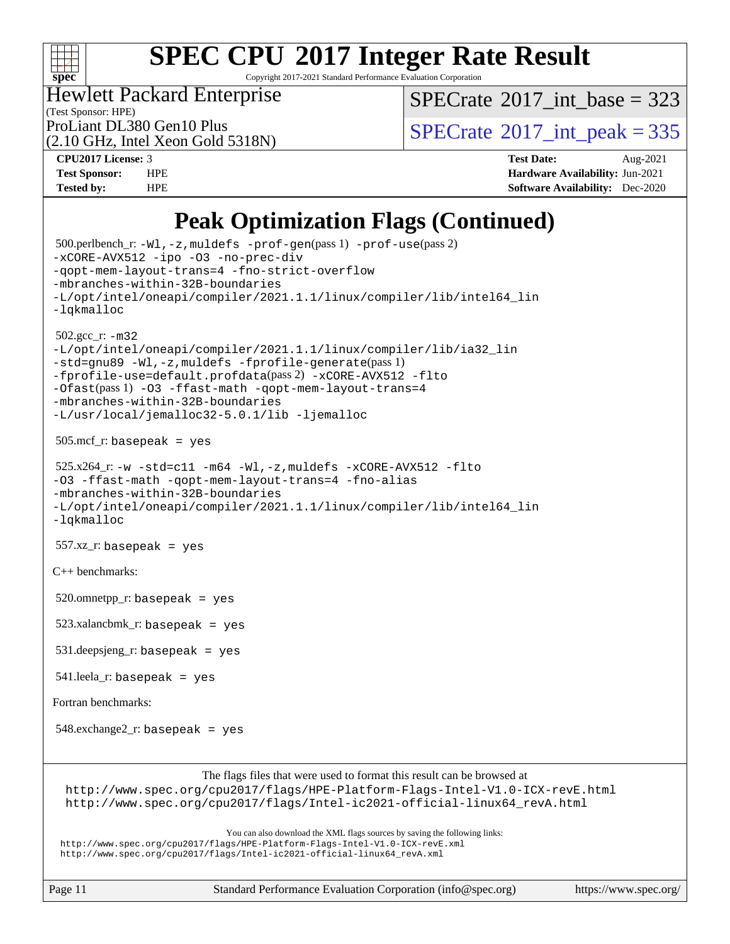

Copyright 2017-2021 Standard Performance Evaluation Corporation

Hewlett Packard Enterprise

 $SPECTate$ <sup>®</sup>[2017\\_int\\_base =](http://www.spec.org/auto/cpu2017/Docs/result-fields.html#SPECrate2017intbase) 323

(Test Sponsor: HPE) (2.10 GHz, Intel Xeon Gold 5318N)

ProLiant DL380 Gen10 Plus  $SPECrate^{\circ}2017$  $SPECrate^{\circ}2017$ \_int\_peak = 335

**[CPU2017 License:](http://www.spec.org/auto/cpu2017/Docs/result-fields.html#CPU2017License)** 3 **[Test Date:](http://www.spec.org/auto/cpu2017/Docs/result-fields.html#TestDate)** Aug-2021 **[Test Sponsor:](http://www.spec.org/auto/cpu2017/Docs/result-fields.html#TestSponsor)** HPE **[Hardware Availability:](http://www.spec.org/auto/cpu2017/Docs/result-fields.html#HardwareAvailability)** Jun-2021 **[Tested by:](http://www.spec.org/auto/cpu2017/Docs/result-fields.html#Testedby)** HPE **[Software Availability:](http://www.spec.org/auto/cpu2017/Docs/result-fields.html#SoftwareAvailability)** Dec-2020

# **[Peak Optimization Flags \(Continued\)](http://www.spec.org/auto/cpu2017/Docs/result-fields.html#PeakOptimizationFlags)**

```
 500.perlbench_r: -Wl,-z,muldefs -prof-gen(pass 1) -prof-use(pass 2)
-xCORE-AVX512 -ipo -O3 -no-prec-div
-qopt-mem-layout-trans=4 -fno-strict-overflow
-mbranches-within-32B-boundaries
-L/opt/intel/oneapi/compiler/2021.1.1/linux/compiler/lib/intel64_lin
-lqkmalloc
 502.gcc_r: -m32
-L/opt/intel/oneapi/compiler/2021.1.1/linux/compiler/lib/ia32_lin
-std=gnu89 -Wl,-z,muldefs -fprofile-generate(pass 1)
-fprofile-use=default.profdata(pass 2) -xCORE-AVX512 -flto
-Ofast(pass 1) -O3 -ffast-math -qopt-mem-layout-trans=4
-mbranches-within-32B-boundaries
-L/usr/local/jemalloc32-5.0.1/lib -ljemalloc
 505.mcf_r: basepeak = yes
525.x264-w-std=c11-m64-Wl,-z,muldefs-xCORE-AVX512-flto
-O3 -ffast-math -qopt-mem-layout-trans=4 -fno-alias
-mbranches-within-32B-boundaries
-L/opt/intel/oneapi/compiler/2021.1.1/linux/compiler/lib/intel64_lin
-lqkmalloc
 557.xz_r: basepeak = yes
C++ benchmarks: 
520.omnetpp_r: basepeak = yes
 523.xalancbmk_r: basepeak = yes
 531.deepsjeng_r: basepeak = yes
 541.leela_r: basepeak = yes
Fortran benchmarks: 
 548.exchange2_r: basepeak = yes
                        The flags files that were used to format this result can be browsed at
 http://www.spec.org/cpu2017/flags/HPE-Platform-Flags-Intel-V1.0-ICX-revE.html
 http://www.spec.org/cpu2017/flags/Intel-ic2021-official-linux64_revA.html
                           You can also download the XML flags sources by saving the following links:
 http://www.spec.org/cpu2017/flags/HPE-Platform-Flags-Intel-V1.0-ICX-revE.xml
 http://www.spec.org/cpu2017/flags/Intel-ic2021-official-linux64_revA.xml
```